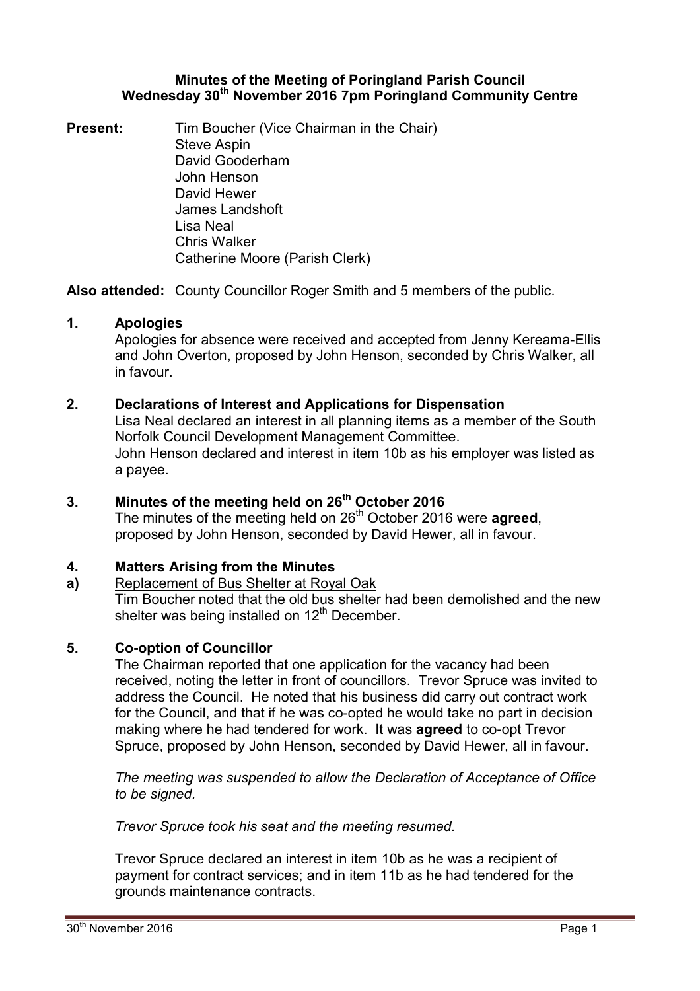### **Minutes of the Meeting of Poringland Parish Council Wednesday 30th November 2016 7pm Poringland Community Centre**

**Present:** Tim Boucher (Vice Chairman in the Chair) Steve Aspin David Gooderham John Henson David Hewer James Landshoft Lisa Neal Chris Walker Catherine Moore (Parish Clerk)

**Also attended:** County Councillor Roger Smith and 5 members of the public.

# **1. Apologies**

Apologies for absence were received and accepted from Jenny Kereama-Ellis and John Overton, proposed by John Henson, seconded by Chris Walker, all in favour.

## **2. Declarations of Interest and Applications for Dispensation**

Lisa Neal declared an interest in all planning items as a member of the South Norfolk Council Development Management Committee. John Henson declared and interest in item 10b as his employer was listed as a payee.

# **3. Minutes of the meeting held on 26th October 2016**

The minutes of the meeting held on 26<sup>th</sup> October 2016 were **agreed**, proposed by John Henson, seconded by David Hewer, all in favour.

## **4. Matters Arising from the Minutes**

**a)** Replacement of Bus Shelter at Royal Oak

Tim Boucher noted that the old bus shelter had been demolished and the new shelter was being installed on  $12<sup>th</sup>$  December.

## **5. Co-option of Councillor**

The Chairman reported that one application for the vacancy had been received, noting the letter in front of councillors. Trevor Spruce was invited to address the Council. He noted that his business did carry out contract work for the Council, and that if he was co-opted he would take no part in decision making where he had tendered for work. It was **agreed** to co-opt Trevor Spruce, proposed by John Henson, seconded by David Hewer, all in favour.

*The meeting was suspended to allow the Declaration of Acceptance of Office to be signed.* 

*Trevor Spruce took his seat and the meeting resumed.* 

Trevor Spruce declared an interest in item 10b as he was a recipient of payment for contract services; and in item 11b as he had tendered for the grounds maintenance contracts.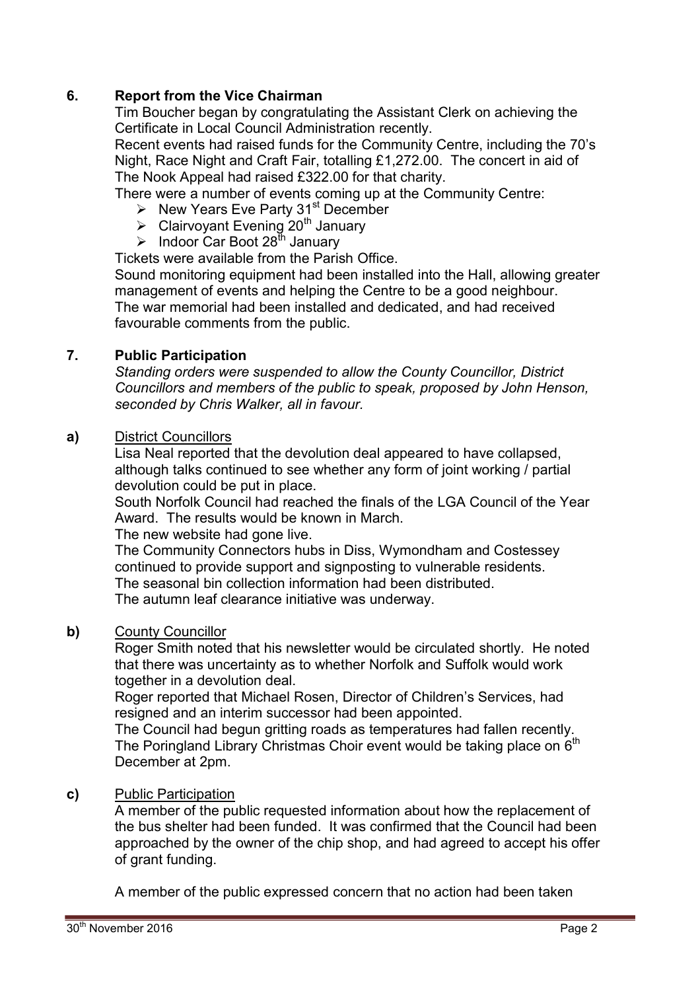# **6. Report from the Vice Chairman**

Tim Boucher began by congratulating the Assistant Clerk on achieving the Certificate in Local Council Administration recently.

Recent events had raised funds for the Community Centre, including the 70's Night, Race Night and Craft Fair, totalling £1,272.00. The concert in aid of The Nook Appeal had raised £322.00 for that charity.

There were a number of events coming up at the Community Centre:

- $\triangleright$  New Years Eve Party 31<sup>st</sup> December
- $\triangleright$  Clairvoyant Evening 20<sup>th</sup> January
- > Indoor Car Boot 28<sup>th</sup> January

Tickets were available from the Parish Office.

Sound monitoring equipment had been installed into the Hall, allowing greater management of events and helping the Centre to be a good neighbour. The war memorial had been installed and dedicated, and had received favourable comments from the public.

# **7. Public Participation**

*Standing orders were suspended to allow the County Councillor, District Councillors and members of the public to speak, proposed by John Henson, seconded by Chris Walker, all in favour.* 

## **a)** District Councillors

Lisa Neal reported that the devolution deal appeared to have collapsed, although talks continued to see whether any form of joint working / partial devolution could be put in place.

South Norfolk Council had reached the finals of the LGA Council of the Year Award. The results would be known in March.

The new website had gone live.

The Community Connectors hubs in Diss, Wymondham and Costessey continued to provide support and signposting to vulnerable residents. The seasonal bin collection information had been distributed. The autumn leaf clearance initiative was underway.

# **b)** County Councillor

Roger Smith noted that his newsletter would be circulated shortly. He noted that there was uncertainty as to whether Norfolk and Suffolk would work together in a devolution deal.

Roger reported that Michael Rosen, Director of Children's Services, had resigned and an interim successor had been appointed.

The Council had begun gritting roads as temperatures had fallen recently. The Poringland Library Christmas Choir event would be taking place on 6<sup>th</sup> December at 2pm.

# **c)** Public Participation

A member of the public requested information about how the replacement of the bus shelter had been funded. It was confirmed that the Council had been approached by the owner of the chip shop, and had agreed to accept his offer of grant funding.

A member of the public expressed concern that no action had been taken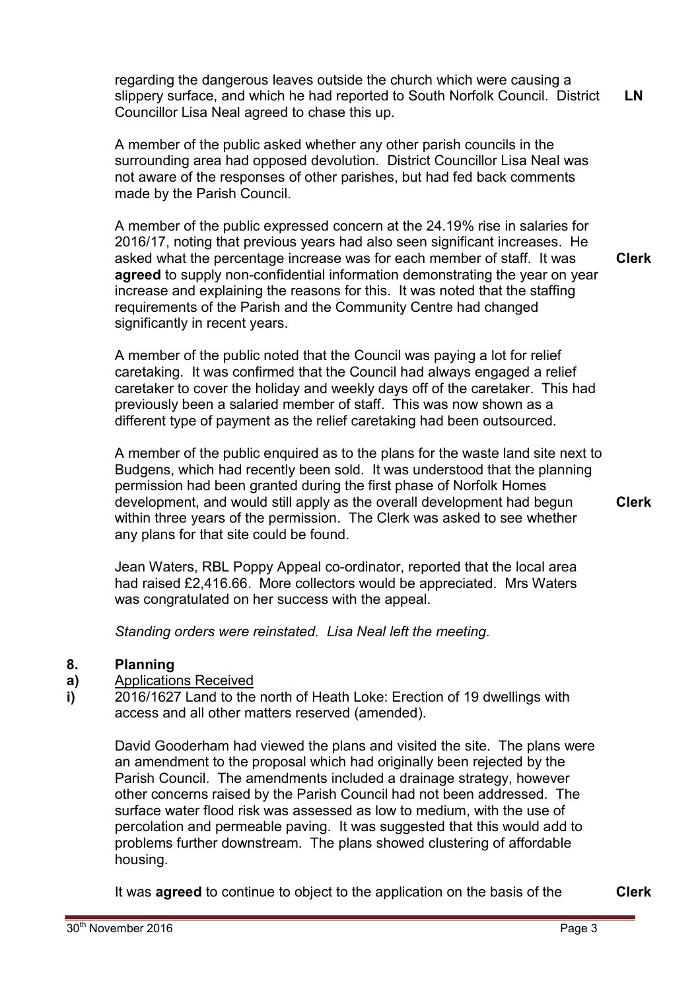regarding the dangerous leaves outside the church which were causing a slippery surface, and which he had reported to South Norfolk Council. District Councillor Lisa Neal agreed to chase this up. **LN** 

A member of the public asked whether any other parish councils in the surrounding area had opposed devolution. District Councillor Lisa Neal was not aware of the responses of other parishes, but had fed back comments made by the Parish Council.

A member of the public expressed concern at the 24.19% rise in salaries for 2016/17, noting that previous years had also seen significant increases. He asked what the percentage increase was for each member of staff. It was **agreed** to supply non-confidential information demonstrating the year on year increase and explaining the reasons for this. It was noted that the staffing requirements of the Parish and the Community Centre had changed significantly in recent years. **Clerk**

A member of the public noted that the Council was paying a lot for relief caretaking. It was confirmed that the Council had always engaged a relief caretaker to cover the holiday and weekly days off of the caretaker. This had previously been a salaried member of staff. This was now shown as a different type of payment as the relief caretaking had been outsourced.

A member of the public enquired as to the plans for the waste land site next to Budgens, which had recently been sold. It was understood that the planning permission had been granted during the first phase of Norfolk Homes development, and would still apply as the overall development had begun within three years of the permission. The Clerk was asked to see whether any plans for that site could be found.

**Clerk**

Jean Waters, RBL Poppy Appeal co-ordinator, reported that the local area had raised £2,416.66. More collectors would be appreciated. Mrs Waters was congratulated on her success with the appeal.

*Standing orders were reinstated. Lisa Neal left the meeting.* 

#### **8. Planning**

- **a)**  Applications Received
- **i)**  2016/1627 Land to the north of Heath Loke: Erection of 19 dwellings with access and all other matters reserved (amended).

David Gooderham had viewed the plans and visited the site. The plans were an amendment to the proposal which had originally been rejected by the Parish Council. The amendments included a drainage strategy, however other concerns raised by the Parish Council had not been addressed. The surface water flood risk was assessed as low to medium, with the use of percolation and permeable paving. It was suggested that this would add to problems further downstream. The plans showed clustering of affordable housing.

It was **agreed** to continue to object to the application on the basis of the **Clerk**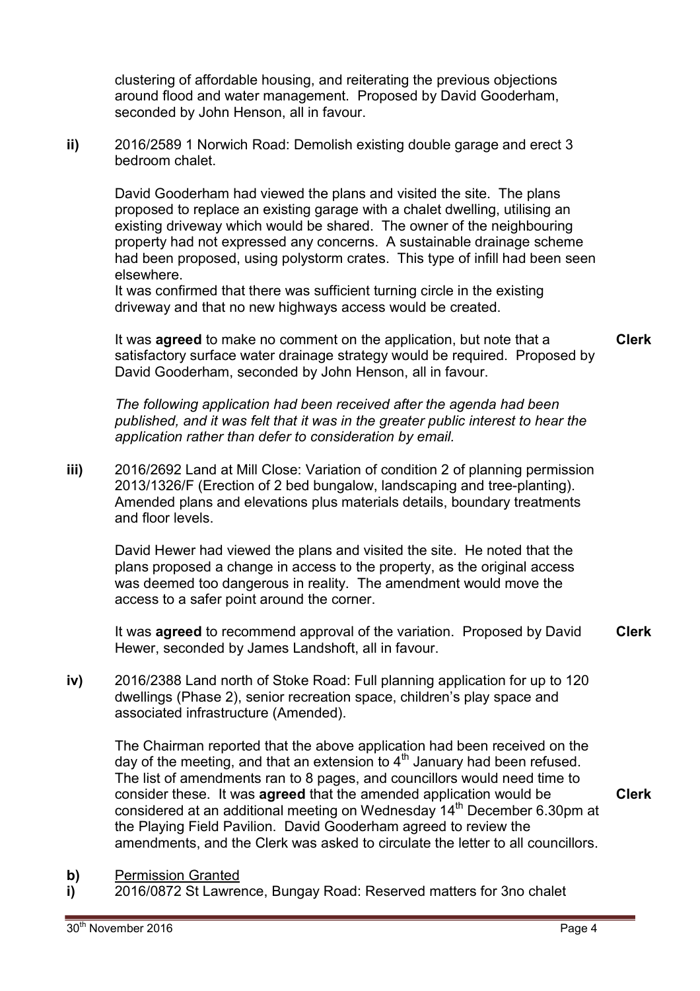clustering of affordable housing, and reiterating the previous objections around flood and water management. Proposed by David Gooderham, seconded by John Henson, all in favour.

**ii)** 2016/2589 1 Norwich Road: Demolish existing double garage and erect 3 bedroom chalet.

David Gooderham had viewed the plans and visited the site. The plans proposed to replace an existing garage with a chalet dwelling, utilising an existing driveway which would be shared. The owner of the neighbouring property had not expressed any concerns. A sustainable drainage scheme had been proposed, using polystorm crates. This type of infill had been seen elsewhere.

It was confirmed that there was sufficient turning circle in the existing driveway and that no new highways access would be created.

It was **agreed** to make no comment on the application, but note that a satisfactory surface water drainage strategy would be required. Proposed by David Gooderham, seconded by John Henson, all in favour.

*The following application had been received after the agenda had been published, and it was felt that it was in the greater public interest to hear the application rather than defer to consideration by email.* 

**iii)** 2016/2692 Land at Mill Close: Variation of condition 2 of planning permission 2013/1326/F (Erection of 2 bed bungalow, landscaping and tree-planting). Amended plans and elevations plus materials details, boundary treatments and floor levels.

David Hewer had viewed the plans and visited the site. He noted that the plans proposed a change in access to the property, as the original access was deemed too dangerous in reality. The amendment would move the access to a safer point around the corner.

It was **agreed** to recommend approval of the variation. Proposed by David Hewer, seconded by James Landshoft, all in favour. **Clerk** 

**iv)** 2016/2388 Land north of Stoke Road: Full planning application for up to 120 dwellings (Phase 2), senior recreation space, children's play space and associated infrastructure (Amended).

The Chairman reported that the above application had been received on the day of the meeting, and that an extension to  $4<sup>th</sup>$  January had been refused. The list of amendments ran to 8 pages, and councillors would need time to consider these. It was **agreed** that the amended application would be considered at an additional meeting on Wednesday 14<sup>th</sup> December 6.30pm at the Playing Field Pavilion. David Gooderham agreed to review the amendments, and the Clerk was asked to circulate the letter to all councillors. **Clerk**

- **b)** Permission Granted
- **i)**  2016/0872 St Lawrence, Bungay Road: Reserved matters for 3no chalet

**Clerk**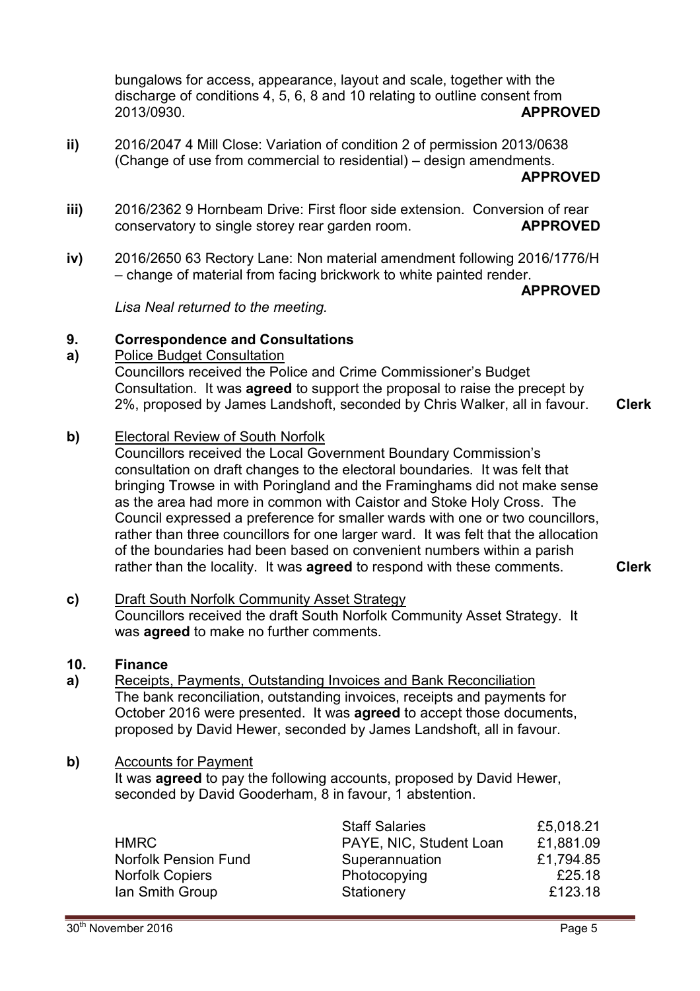bungalows for access, appearance, layout and scale, together with the discharge of conditions 4, 5, 6, 8 and 10 relating to outline consent from 2013/0930. **APPROVED**

- **ii)**  2016/2047 4 Mill Close: Variation of condition 2 of permission 2013/0638 (Change of use from commercial to residential) – design amendments. **APPROVED**
- **iii)**  2016/2362 9 Hornbeam Drive: First floor side extension. Conversion of rear conservatory to single storey rear garden room. **APPROVED**
- **iv)**  2016/2650 63 Rectory Lane: Non material amendment following 2016/1776/H – change of material from facing brickwork to white painted render.

## **APPROVED**

*Lisa Neal returned to the meeting.* 

#### **9. Correspondence and Consultations**

**a)**  Police Budget Consultation

Councillors received the Police and Crime Commissioner's Budget Consultation. It was **agreed** to support the proposal to raise the precept by 2%, proposed by James Landshoft, seconded by Chris Walker, all in favour. **Clerk**

**b)** Electoral Review of South Norfolk

Councillors received the Local Government Boundary Commission's consultation on draft changes to the electoral boundaries. It was felt that bringing Trowse in with Poringland and the Framinghams did not make sense as the area had more in common with Caistor and Stoke Holy Cross. The Council expressed a preference for smaller wards with one or two councillors, rather than three councillors for one larger ward. It was felt that the allocation of the boundaries had been based on convenient numbers within a parish rather than the locality. It was **agreed** to respond with these comments. **Clerk**

**c)** Draft South Norfolk Community Asset Strategy Councillors received the draft South Norfolk Community Asset Strategy. It was **agreed** to make no further comments.

#### **10. Finance**

**a)**  Receipts, Payments, Outstanding Invoices and Bank Reconciliation The bank reconciliation, outstanding invoices, receipts and payments for October 2016 were presented. It was **agreed** to accept those documents, proposed by David Hewer, seconded by James Landshoft, all in favour.

## **b)** Accounts for Payment

It was **agreed** to pay the following accounts, proposed by David Hewer, seconded by David Gooderham, 8 in favour, 1 abstention.

|                        | <b>Staff Salaries</b>   | £5,018.21 |
|------------------------|-------------------------|-----------|
| <b>HMRC</b>            | PAYE, NIC, Student Loan | £1,881.09 |
| Norfolk Pension Fund   | Superannuation          | £1,794.85 |
| <b>Norfolk Copiers</b> | Photocopying            | £25.18    |
| Ian Smith Group        | Stationery              | £123.18   |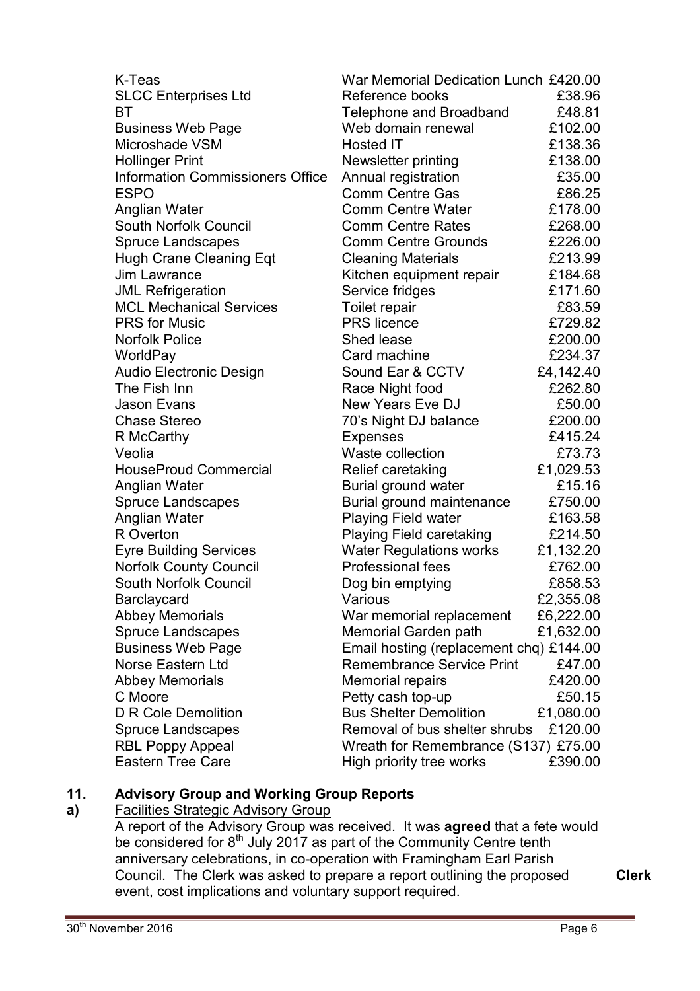| K-Teas                                  | War Memorial Dedication Lunch £420.00   |           |
|-----------------------------------------|-----------------------------------------|-----------|
| <b>SLCC Enterprises Ltd</b>             | Reference books                         | £38.96    |
| ВT                                      | Telephone and Broadband                 | £48.81    |
| <b>Business Web Page</b>                | Web domain renewal                      | £102.00   |
| Microshade VSM                          | Hosted IT                               | £138.36   |
| <b>Hollinger Print</b>                  | Newsletter printing                     | £138.00   |
| <b>Information Commissioners Office</b> | Annual registration                     | £35.00    |
| <b>ESPO</b>                             | <b>Comm Centre Gas</b>                  | £86.25    |
| Anglian Water                           | <b>Comm Centre Water</b>                | £178.00   |
| South Norfolk Council                   | <b>Comm Centre Rates</b>                | £268.00   |
| <b>Spruce Landscapes</b>                | <b>Comm Centre Grounds</b>              | £226.00   |
| <b>Hugh Crane Cleaning Eqt</b>          | <b>Cleaning Materials</b>               | £213.99   |
| Jim Lawrance                            | Kitchen equipment repair                | £184.68   |
| <b>JML Refrigeration</b>                | Service fridges                         | £171.60   |
| <b>MCL Mechanical Services</b>          | Toilet repair                           | £83.59    |
| <b>PRS</b> for Music                    | <b>PRS</b> licence                      | £729.82   |
| <b>Norfolk Police</b>                   | Shed lease                              | £200.00   |
| WorldPay                                | Card machine                            | £234.37   |
| <b>Audio Electronic Design</b>          | Sound Ear & CCTV                        | £4,142.40 |
| The Fish Inn                            | Race Night food                         | £262.80   |
| Jason Evans                             | New Years Eve DJ                        | £50.00    |
| <b>Chase Stereo</b>                     | 70's Night DJ balance                   | £200.00   |
| R McCarthy                              | <b>Expenses</b>                         | £415.24   |
| Veolia                                  | Waste collection                        | £73.73    |
| <b>HouseProud Commercial</b>            | Relief caretaking                       | £1,029.53 |
| Anglian Water                           | Burial ground water                     | £15.16    |
| <b>Spruce Landscapes</b>                | Burial ground maintenance               | £750.00   |
| Anglian Water                           | Playing Field water                     | £163.58   |
| R Overton                               | <b>Playing Field caretaking</b>         | £214.50   |
| <b>Eyre Building Services</b>           | <b>Water Regulations works</b>          | £1,132.20 |
| <b>Norfolk County Council</b>           | <b>Professional fees</b>                | £762.00   |
| <b>South Norfolk Council</b>            | Dog bin emptying                        | £858.53   |
| Barclaycard                             | Various                                 | £2,355.08 |
| <b>Abbey Memorials</b>                  | War memorial replacement                | £6,222.00 |
| <b>Spruce Landscapes</b>                | Memorial Garden path                    | £1,632.00 |
| <b>Business Web Page</b>                | Email hosting (replacement chq) £144.00 |           |
| Norse Eastern Ltd                       | <b>Remembrance Service Print</b>        | £47.00    |
| <b>Abbey Memorials</b>                  | <b>Memorial repairs</b>                 | £420.00   |
| C Moore                                 | Petty cash top-up                       | £50.15    |
| <b>D R Cole Demolition</b>              | <b>Bus Shelter Demolition</b>           | £1,080.00 |
| <b>Spruce Landscapes</b>                | Removal of bus shelter shrubs           | £120.00   |
| <b>RBL Poppy Appeal</b>                 | Wreath for Remembrance (S137) £75.00    |           |
| <b>Eastern Tree Care</b>                | High priority tree works                | £390.00   |

#### **11. Advisory Group and Working Group Reports**

#### **a)**  Facilities Strategic Advisory Group

A report of the Advisory Group was received. It was **agreed** that a fete would be considered for  $8<sup>th</sup>$  July 2017 as part of the Community Centre tenth anniversary celebrations, in co-operation with Framingham Earl Parish Council. The Clerk was asked to prepare a report outlining the proposed event, cost implications and voluntary support required.

**Clerk**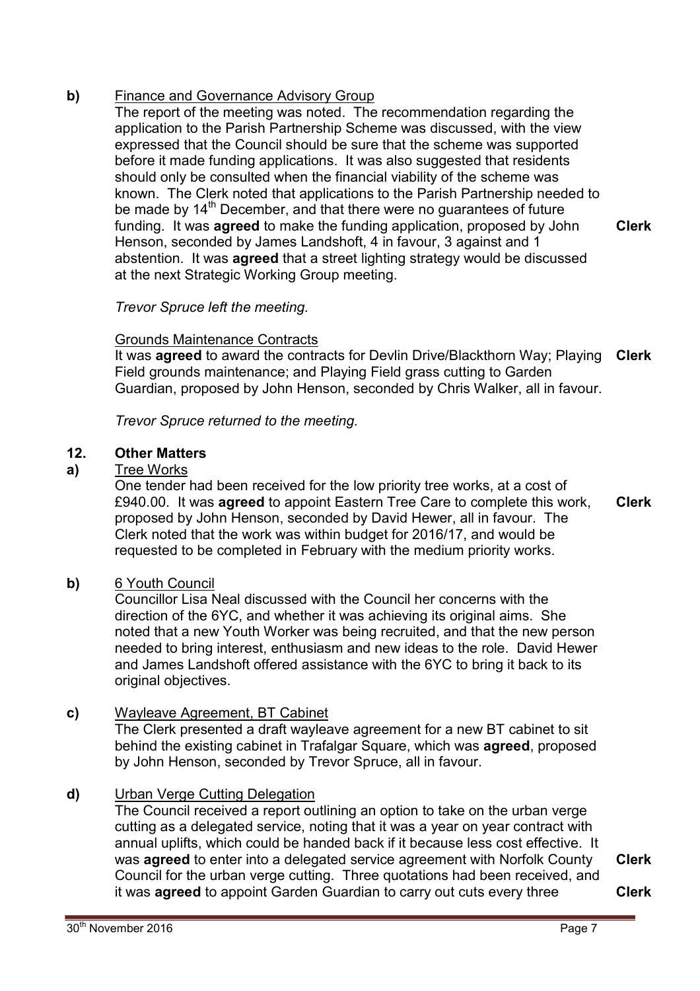# **b)** Finance and Governance Advisory Group

The report of the meeting was noted. The recommendation regarding the application to the Parish Partnership Scheme was discussed, with the view expressed that the Council should be sure that the scheme was supported before it made funding applications. It was also suggested that residents should only be consulted when the financial viability of the scheme was known. The Clerk noted that applications to the Parish Partnership needed to be made by  $14<sup>th</sup>$  December, and that there were no guarantees of future funding. It was **agreed** to make the funding application, proposed by John Henson, seconded by James Landshoft, 4 in favour, 3 against and 1 abstention. It was **agreed** that a street lighting strategy would be discussed at the next Strategic Working Group meeting. **Clerk**

## *Trevor Spruce left the meeting.*

## Grounds Maintenance Contracts

It was **agreed** to award the contracts for Devlin Drive/Blackthorn Way; Playing Field grounds maintenance; and Playing Field grass cutting to Garden Guardian, proposed by John Henson, seconded by Chris Walker, all in favour. **Clerk**

*Trevor Spruce returned to the meeting.* 

### **12. Other Matters**

## **a)** Tree Works

One tender had been received for the low priority tree works, at a cost of £940.00. It was **agreed** to appoint Eastern Tree Care to complete this work, proposed by John Henson, seconded by David Hewer, all in favour. The Clerk noted that the work was within budget for 2016/17, and would be requested to be completed in February with the medium priority works.

## **b)** 6 Youth Council

Councillor Lisa Neal discussed with the Council her concerns with the direction of the 6YC, and whether it was achieving its original aims. She noted that a new Youth Worker was being recruited, and that the new person needed to bring interest, enthusiasm and new ideas to the role. David Hewer and James Landshoft offered assistance with the 6YC to bring it back to its original objectives.

## **c)** Wayleave Agreement, BT Cabinet

The Clerk presented a draft wayleave agreement for a new BT cabinet to sit behind the existing cabinet in Trafalgar Square, which was **agreed**, proposed by John Henson, seconded by Trevor Spruce, all in favour.

## **d)** Urban Verge Cutting Delegation

The Council received a report outlining an option to take on the urban verge cutting as a delegated service, noting that it was a year on year contract with annual uplifts, which could be handed back if it because less cost effective. It was **agreed** to enter into a delegated service agreement with Norfolk County Council for the urban verge cutting. Three quotations had been received, and it was **agreed** to appoint Garden Guardian to carry out cuts every three

**Clerk**

**Clerk**